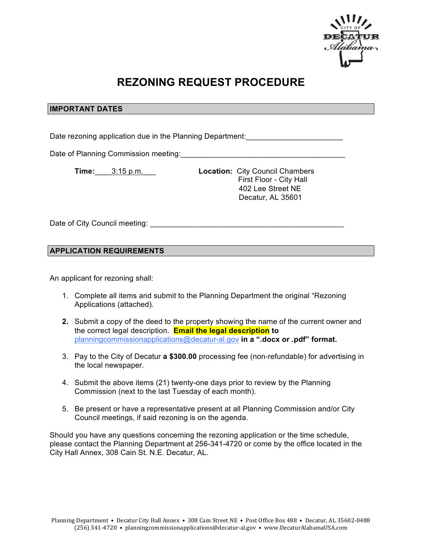

## **REZONING REQUEST PROCEDURE**

## **IMPORTANT DATES**

Date rezoning application due in the Planning Department: \_\_\_\_\_\_\_\_\_\_\_\_\_\_\_\_\_\_\_\_\_\_

Date of Planning Commission meeting:

**Time:**\_\_\_\_3:15 p.m.\_\_\_ **Location:** City Council Chambers First Floor - City Hall 402 Lee Street NE Decatur, AL 35601

Date of City Council meeting: **We are also assumed as a set of City Council** meeting:

## **APPLICATION REQUIREMENTS**

An applicant for rezoning shall:

- 1. Complete all items and submit to the Planning Department the original "Rezoning Applications (attached).
- **2.** Submit a copy of the deed to the property showing the name of the current owner and the correct legal description. **Email the legal description to** planningcommissionapplications@decatur-al.gov **in a ".docx or .pdf" format.**
- 3. Pay to the City of Decatur **a \$300.00** processing fee (non-refundable) for advertising in the local newspaper.
- 4. Submit the above items (21) twenty-one days prior to review by the Planning Commission (next to the last Tuesday of each month).
- 5. Be present or have a representative present at all Planning Commission and/or City Council meetings, if said rezoning is on the agenda.

Should you have any questions concerning the rezoning application or the time schedule, please contact the Planning Department at 256-341-4720 or come by the office located in the City Hall Annex, 308 Cain St. N.E. Decatur, AL.